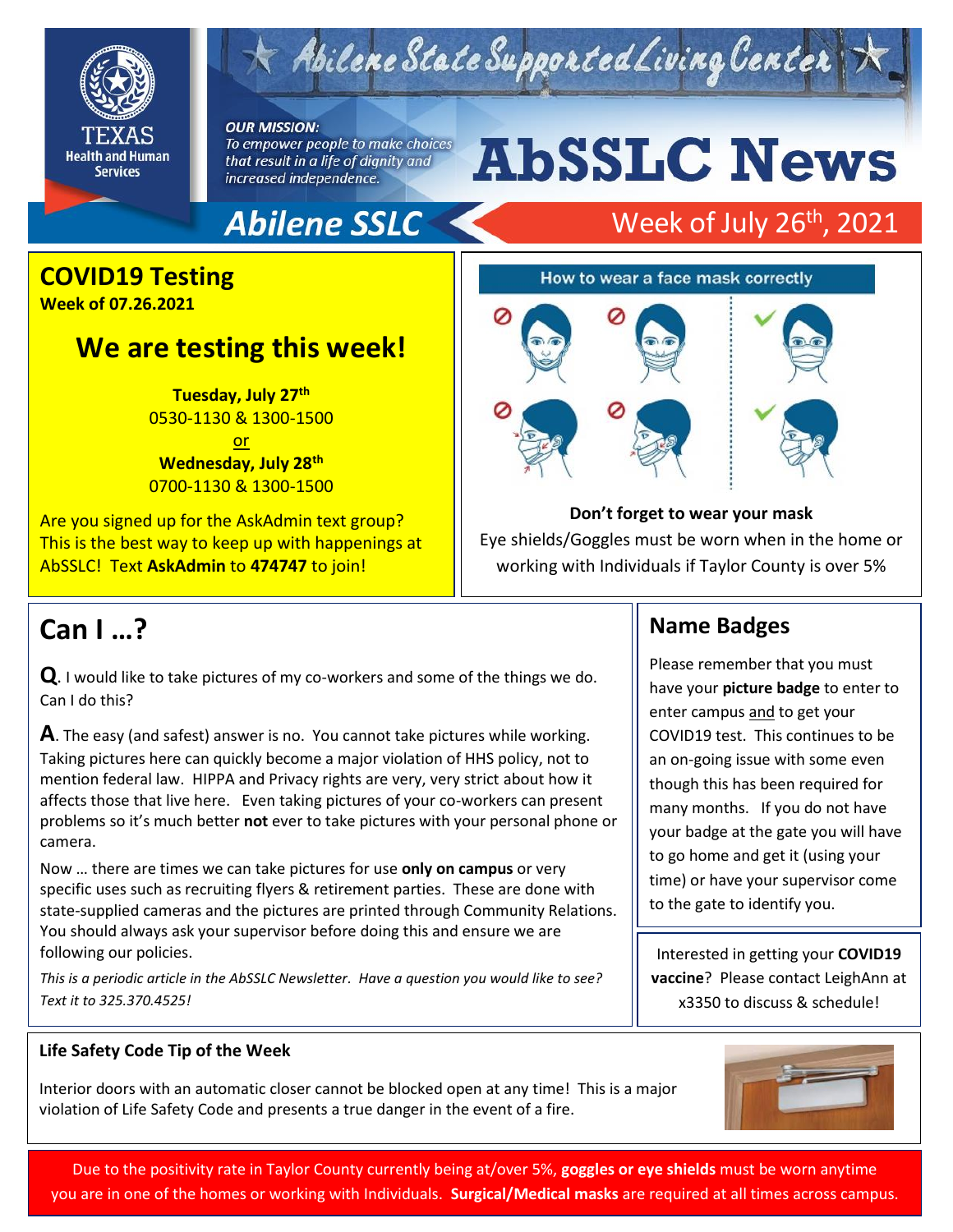

## $\leq$  Abilene State Supported Living Center

**OUR MISSION:** To empower people to make choices

that result in a life of dignity and increased independence.

# **AbSSLC News**

## **Abilene SSLC**

## Week of July 26<sup>th</sup>, 2021

### **COVID19 Testing**

**Week of 07.26.2021** 

## **We are testing this week!**

**Tuesday, July 27th** 0530-1130 & 1300-1500 or

**Wednesday, July 28th** 0700-1130 & 1300-1500

Are you signed up for the AskAdmin text group? This is the best way to keep up with happenings at AbSSLC! Text **AskAdmin** to **474747** to join!



#### **Don't forget to wear your mask**

Eye shields/Goggles must be worn when in the home or working with Individuals if Taylor County is over 5%

**Name Badges**

Please remember that you must have your **picture badge** to enter to

COVID19 test. This continues to be an on-going issue with some even though this has been required for many months. If you do not have your badge at the gate you will have to go home and get it (using your time) or have your supervisor come

enter campus and to get your

to the gate to identify you.

## **Can I …?**

**Q**. I would like to take pictures of my co-workers and some of the things we do. Can I do this?

**A**. The easy (and safest) answer is no. You cannot take pictures while working. Taking pictures here can quickly become a major violation of HHS policy, not to mention federal law. HIPPA and Privacy rights are very, very strict about how it affects those that live here. Even taking pictures of your co-workers can present problems so it's much better **not** ever to take pictures with your personal phone or camera.

Now … there are times we can take pictures for use **only on campus** or very specific uses such as recruiting flyers & retirement parties. These are done with state-supplied cameras and the pictures are printed through Community Relations. You should always ask your supervisor before doing this and ensure we are following our policies.

*This is a periodic article in the AbSSLC Newsletter. Have a question you would like to see? Text it to 325.370.4525!*

#### **Life Safety Code Tip of the Week**

Interior doors with an automatic closer cannot be blocked open at any time! This is a major violation of Life Safety Code and presents a true danger in the event of a fire.

#### Interested in getting your **COVID19 vaccine**? Please contact LeighAnn at x3350 to discuss & schedule!



2019

Due to the positivity rate in Taylor County currently being at/over 5%, **goggles or eye shields** must be worn anytime you are in one of the homes or working with Individuals. **Surgical/Medical masks** are required at all times across campus.